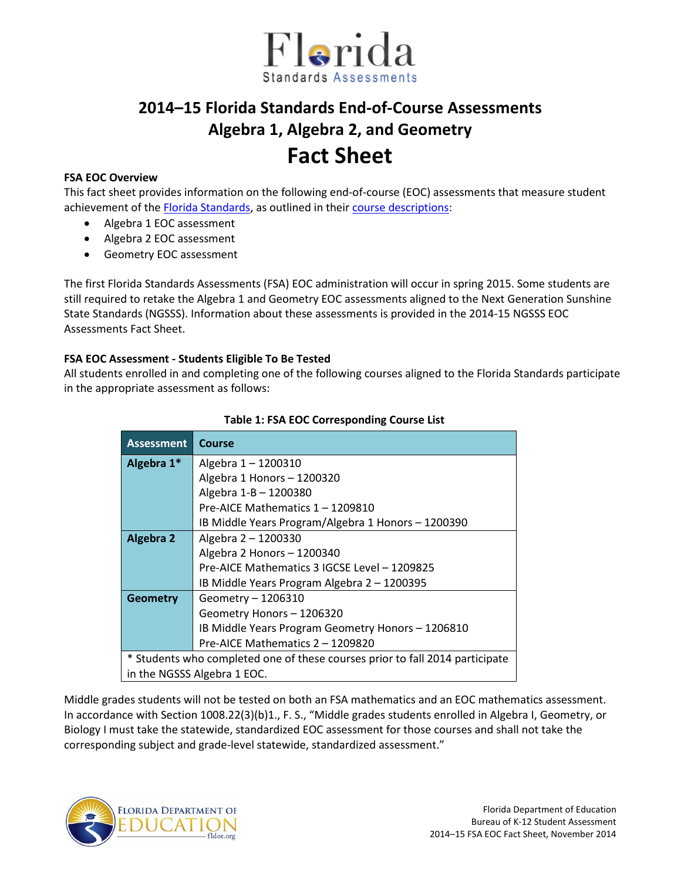

# **2014–15 Florida Standards End-of-Course Assessments Algebra 1, Algebra 2, and Geometry Fact Sheet**

### **FSA EOC Overview**

This fact sheet provides information on the following end-of-course (EOC) assessments that measure student achievement of the [Florida Standards,](http://www.cpalms.org/Public/) as outlined in their [course descriptions:](http://www.cpalms.org/Public/search/Course#0)

- Algebra 1 EOC assessment
- Algebra 2 EOC assessment
- Geometry EOC assessment

The first Florida Standards Assessments (FSA) EOC administration will occur in spring 2015. Some students are still required to retake the Algebra 1 and Geometry EOC assessments aligned to the Next Generation Sunshine State Standards (NGSSS). Information about these assessments is provided in the 2014-15 NGSSS EOC Assessments Fact Sheet.

### **FSA EOC Assessment - Students Eligible To Be Tested**

All students enrolled in and completing one of the following courses aligned to the Florida Standards participate in the appropriate assessment as follows:

| <b>Assessment</b>                                                            | <b>Course</b>                                      |
|------------------------------------------------------------------------------|----------------------------------------------------|
| Algebra 1*                                                                   | Algebra 1-1200310                                  |
|                                                                              | Algebra 1 Honors - 1200320                         |
|                                                                              | Algebra 1-B - 1200380                              |
|                                                                              | Pre-AICE Mathematics 1 - 1209810                   |
|                                                                              | IB Middle Years Program/Algebra 1 Honors - 1200390 |
| <b>Algebra 2</b>                                                             | Algebra 2 - 1200330                                |
|                                                                              | Algebra 2 Honors - 1200340                         |
|                                                                              | Pre-AICE Mathematics 3 IGCSE Level - 1209825       |
|                                                                              | IB Middle Years Program Algebra 2 - 1200395        |
| <b>Geometry</b>                                                              | Geometry - 1206310                                 |
|                                                                              | Geometry Honors - 1206320                          |
|                                                                              | IB Middle Years Program Geometry Honors - 1206810  |
|                                                                              | Pre-AICE Mathematics 2 - 1209820                   |
| * Students who completed one of these courses prior to fall 2014 participate |                                                    |
| in the NGSSS Algebra 1 EOC.                                                  |                                                    |

### **Table 1: FSA EOC Corresponding Course List**

Middle grades students will not be tested on both an FSA mathematics and an EOC mathematics assessment. In accordance with Section 1008.22(3)(b)1., F. S., "Middle grades students enrolled in Algebra I, Geometry, or Biology I must take the statewide, standardized EOC assessment for those courses and shall not take the corresponding subject and grade-level statewide, standardized assessment."